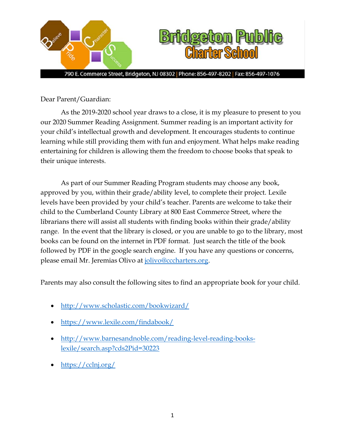

Dear Parent/Guardian:

As the 2019-2020 school year draws to a close, it is my pleasure to present to you our 2020 Summer Reading Assignment. Summer reading is an important activity for your child's intellectual growth and development. It encourages students to continue learning while still providing them with fun and enjoyment. What helps make reading entertaining for children is allowing them the freedom to choose books that speak to their unique interests.

As part of our Summer Reading Program students may choose any book, approved by you, within their grade/ability level, to complete their project. Lexile levels have been provided by your child's teacher. Parents are welcome to take their child to the Cumberland County Library at 800 East Commerce Street, where the librarians there will assist all students with finding books within their grade/ability range. In the event that the library is closed, or you are unable to go to the library, most books can be found on the internet in PDF format. Just search the title of the book followed by PDF in the google search engine. If you have any questions or concerns, please email Mr. Jeremias Olivo at [jolivo@cccharters.org.](mailto:jolivo@cccharters.org)

Parents may also consult the following sites to find an appropriate book for your child.

- <http://www.scholastic.com/bookwizard/>
- <https://www.lexile.com/findabook/>
- [http://www.barnesandnoble.com/reading-level-reading-books](http://www.barnesandnoble.com/reading-level-reading-books-lexile/search.asp?cds2Pid=30223)[lexile/search.asp?cds2Pid=30223](http://www.barnesandnoble.com/reading-level-reading-books-lexile/search.asp?cds2Pid=30223)
- <https://cclnj.org/>